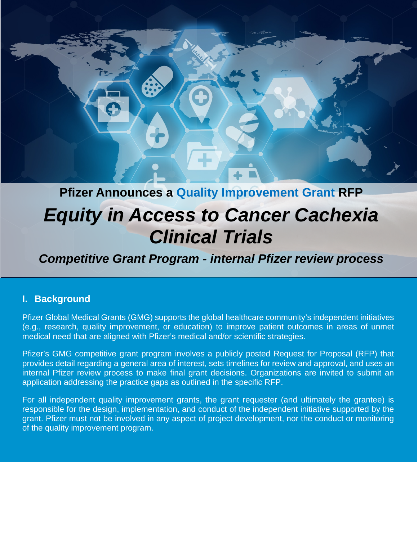

## **Pfizer Announces a Quality Improvement Grant RFP**

# *Equity in Access to Cancer Cachexia Clinical Trials*

## *Competitive Grant Program - internal Pfizer review process*

#### **I. Background**

Pfizer Global Medical Grants (GMG) supports the global healthcare community's independent initiatives (e.g., research, quality improvement, or education) to improve patient outcomes in areas of unmet medical need that are aligned with Pfizer's medical and/or scientific strategies.

Pfizer's GMG competitive grant program involves a publicly posted Request for Proposal (RFP) that provides detail regarding a general area of interest, sets timelines for review and approval, and uses an internal Pfizer review process to make final grant decisions. Organizations are invited to submit an application addressing the practice gaps as outlined in the specific RFP.

For all independent quality improvement grants, the grant requester (and ultimately the grantee) is responsible for the design, implementation, and conduct of the independent initiative supported by the grant. Pfizer must not be involved in any aspect of project development, nor the conduct or monitoring of the quality improvement program.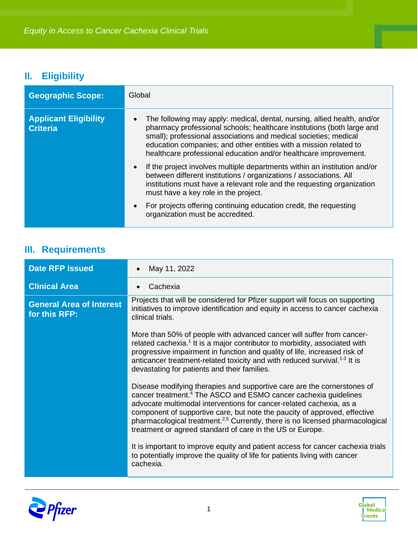## **II. Eligibility**

| <b>Geographic Scope:</b>                        | Global                                                                                                                                                                                                                                                                                                                                                                       |
|-------------------------------------------------|------------------------------------------------------------------------------------------------------------------------------------------------------------------------------------------------------------------------------------------------------------------------------------------------------------------------------------------------------------------------------|
| <b>Applicant Eligibility</b><br><b>Criteria</b> | The following may apply: medical, dental, nursing, allied health, and/or<br>$\bullet$<br>pharmacy professional schools; healthcare institutions (both large and<br>small); professional associations and medical societies; medical<br>education companies; and other entities with a mission related to<br>healthcare professional education and/or healthcare improvement. |
|                                                 | If the project involves multiple departments within an institution and/or<br>$\bullet$<br>between different institutions / organizations / associations. All<br>institutions must have a relevant role and the requesting organization<br>must have a key role in the project.                                                                                               |
|                                                 | For projects offering continuing education credit, the requesting<br>$\bullet$<br>organization must be accredited.                                                                                                                                                                                                                                                           |

### **III. Requirements**

| <b>Date RFP Issued</b>                           | May 11, 2022                                                                                                                                                                                                                                                                                                                                                                                                                                                         |
|--------------------------------------------------|----------------------------------------------------------------------------------------------------------------------------------------------------------------------------------------------------------------------------------------------------------------------------------------------------------------------------------------------------------------------------------------------------------------------------------------------------------------------|
| <b>Clinical Area</b>                             | Cachexia                                                                                                                                                                                                                                                                                                                                                                                                                                                             |
| <b>General Area of Interest</b><br>for this RFP: | Projects that will be considered for Pfizer support will focus on supporting<br>initiatives to improve identification and equity in access to cancer cachexia<br>clinical trials.                                                                                                                                                                                                                                                                                    |
|                                                  | More than 50% of people with advanced cancer will suffer from cancer-<br>related cachexia. <sup>1</sup> It is a major contributor to morbidity, associated with<br>progressive impairment in function and quality of life, increased risk of<br>anticancer treatment-related toxicity and with reduced survival. <sup>1-3</sup> It is<br>devastating for patients and their families.                                                                                |
|                                                  | Disease modifying therapies and supportive care are the cornerstones of<br>cancer treatment. <sup>4</sup> The ASCO and ESMO cancer cachexia guidelines<br>advocate multimodal interventions for cancer-related cachexia, as a<br>component of supportive care, but note the paucity of approved, effective<br>pharmacological treatment. <sup>2,5</sup> Currently, there is no licensed pharmacological<br>treatment or agreed standard of care in the US or Europe. |
|                                                  | It is important to improve equity and patient access for cancer cachexia trials<br>to potentially improve the quality of life for patients living with cancer<br>cachexia.                                                                                                                                                                                                                                                                                           |



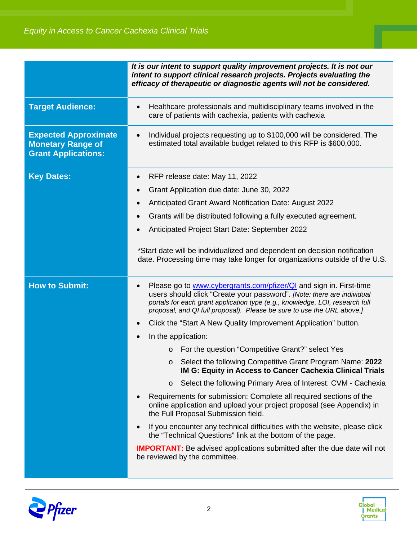|                                                                                       | It is our intent to support quality improvement projects. It is not our<br>intent to support clinical research projects. Projects evaluating the<br>efficacy of therapeutic or diagnostic agents will not be considered.                                                                                                                                                                                                                                                                                                                                                                                                                                                                                                                                                                                                                                                                                                                                                                                                                                                                                                     |
|---------------------------------------------------------------------------------------|------------------------------------------------------------------------------------------------------------------------------------------------------------------------------------------------------------------------------------------------------------------------------------------------------------------------------------------------------------------------------------------------------------------------------------------------------------------------------------------------------------------------------------------------------------------------------------------------------------------------------------------------------------------------------------------------------------------------------------------------------------------------------------------------------------------------------------------------------------------------------------------------------------------------------------------------------------------------------------------------------------------------------------------------------------------------------------------------------------------------------|
| <b>Target Audience:</b>                                                               | Healthcare professionals and multidisciplinary teams involved in the<br>care of patients with cachexia, patients with cachexia                                                                                                                                                                                                                                                                                                                                                                                                                                                                                                                                                                                                                                                                                                                                                                                                                                                                                                                                                                                               |
| <b>Expected Approximate</b><br><b>Monetary Range of</b><br><b>Grant Applications:</b> | Individual projects requesting up to \$100,000 will be considered. The<br>estimated total available budget related to this RFP is \$600,000.                                                                                                                                                                                                                                                                                                                                                                                                                                                                                                                                                                                                                                                                                                                                                                                                                                                                                                                                                                                 |
| <b>Key Dates:</b>                                                                     | RFP release date: May 11, 2022<br>Grant Application due date: June 30, 2022<br>$\bullet$<br><b>Anticipated Grant Award Notification Date: August 2022</b><br>$\bullet$<br>Grants will be distributed following a fully executed agreement.<br>$\bullet$<br>Anticipated Project Start Date: September 2022<br>*Start date will be individualized and dependent on decision notification<br>date. Processing time may take longer for organizations outside of the U.S.                                                                                                                                                                                                                                                                                                                                                                                                                                                                                                                                                                                                                                                        |
| <b>How to Submit:</b>                                                                 | Please go to www.cybergrants.com/pfizer/QI and sign in. First-time<br>users should click "Create your password". [Note: there are individual<br>portals for each grant application type (e.g., knowledge, LOI, research full<br>proposal, and QI full proposal). Please be sure to use the URL above.]<br>Click the "Start A New Quality Improvement Application" button.<br>In the application:<br>For the question "Competitive Grant?" select Yes<br>$\circ$<br>○ Select the following Competitive Grant Program Name: 2022<br>IM G: Equity in Access to Cancer Cachexia Clinical Trials<br>Select the following Primary Area of Interest: CVM - Cachexia<br>$\circ$<br>Requirements for submission: Complete all required sections of the<br>online application and upload your project proposal (see Appendix) in<br>the Full Proposal Submission field.<br>If you encounter any technical difficulties with the website, please click<br>the "Technical Questions" link at the bottom of the page.<br><b>IMPORTANT:</b> Be advised applications submitted after the due date will not<br>be reviewed by the committee. |



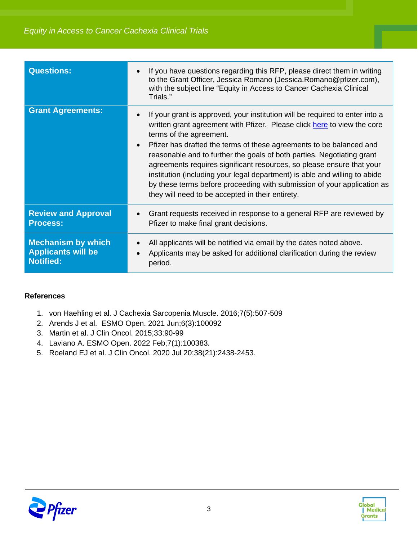| <b>Questions:</b>          | If you have questions regarding this RFP, please direct them in writing<br>to the Grant Officer, Jessica Romano (Jessica. Romano@pfizer.com),<br>with the subject line "Equity in Access to Cancer Cachexia Clinical<br>Trials."                                                                                                                                                                                                                                                                                                                                                                                          |
|----------------------------|---------------------------------------------------------------------------------------------------------------------------------------------------------------------------------------------------------------------------------------------------------------------------------------------------------------------------------------------------------------------------------------------------------------------------------------------------------------------------------------------------------------------------------------------------------------------------------------------------------------------------|
| <b>Grant Agreements:</b>   | If your grant is approved, your institution will be required to enter into a<br>written grant agreement with Pfizer. Please click here to view the core<br>terms of the agreement.<br>Pfizer has drafted the terms of these agreements to be balanced and<br>reasonable and to further the goals of both parties. Negotiating grant<br>agreements requires significant resources, so please ensure that your<br>institution (including your legal department) is able and willing to abide<br>by these terms before proceeding with submission of your application as<br>they will need to be accepted in their entirety. |
| <b>Review and Approval</b> | Grant requests received in response to a general RFP are reviewed by                                                                                                                                                                                                                                                                                                                                                                                                                                                                                                                                                      |
| <b>Process:</b>            | Pfizer to make final grant decisions.                                                                                                                                                                                                                                                                                                                                                                                                                                                                                                                                                                                     |
| <b>Mechanism by which</b>  | All applicants will be notified via email by the dates noted above.                                                                                                                                                                                                                                                                                                                                                                                                                                                                                                                                                       |
| <b>Applicants will be</b>  | Applicants may be asked for additional clarification during the review                                                                                                                                                                                                                                                                                                                                                                                                                                                                                                                                                    |
| <b>Notified:</b>           | period.                                                                                                                                                                                                                                                                                                                                                                                                                                                                                                                                                                                                                   |

#### **References**

- 1. von Haehling et al. J Cachexia Sarcopenia Muscle. 2016;7(5):507-509
- 2. Arends J et al. ESMO Open. 2021 Jun;6(3):100092
- 3. Martin et al. J Clin Oncol. 2015;33:90-99
- 4. Laviano A. ESMO Open. 2022 Feb;7(1):100383.
- 5. Roeland EJ et al. J Clin Oncol. 2020 Jul 20;38(21):2438-2453.



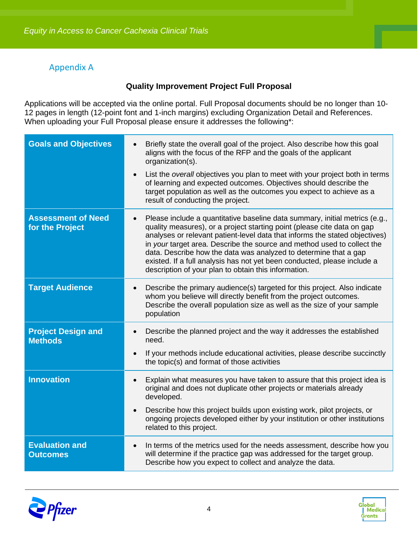#### Appendix A

#### **Quality Improvement Project Full Proposal**

Applications will be accepted via the online portal. Full Proposal documents should be no longer than 10- 12 pages in length (12-point font and 1-inch margins) excluding Organization Detail and References. When uploading your Full Proposal please ensure it addresses the following\*:

| <b>Goals and Objectives</b>                  | Briefly state the overall goal of the project. Also describe how this goal<br>$\bullet$<br>aligns with the focus of the RFP and the goals of the applicant<br>organization(s).                                                                                                                                                                                                                                                                                                                                                        |
|----------------------------------------------|---------------------------------------------------------------------------------------------------------------------------------------------------------------------------------------------------------------------------------------------------------------------------------------------------------------------------------------------------------------------------------------------------------------------------------------------------------------------------------------------------------------------------------------|
|                                              | List the overall objectives you plan to meet with your project both in terms<br>$\bullet$<br>of learning and expected outcomes. Objectives should describe the<br>target population as well as the outcomes you expect to achieve as a<br>result of conducting the project.                                                                                                                                                                                                                                                           |
| <b>Assessment of Need</b><br>for the Project | Please include a quantitative baseline data summary, initial metrics (e.g.,<br>$\bullet$<br>quality measures), or a project starting point (please cite data on gap<br>analyses or relevant patient-level data that informs the stated objectives)<br>in your target area. Describe the source and method used to collect the<br>data. Describe how the data was analyzed to determine that a gap<br>existed. If a full analysis has not yet been conducted, please include a<br>description of your plan to obtain this information. |
| <b>Target Audience</b>                       | Describe the primary audience(s) targeted for this project. Also indicate<br>whom you believe will directly benefit from the project outcomes.<br>Describe the overall population size as well as the size of your sample<br>population                                                                                                                                                                                                                                                                                               |
| <b>Project Design and</b><br><b>Methods</b>  | Describe the planned project and the way it addresses the established<br>need.                                                                                                                                                                                                                                                                                                                                                                                                                                                        |
|                                              | If your methods include educational activities, please describe succinctly<br>$\bullet$<br>the topic(s) and format of those activities                                                                                                                                                                                                                                                                                                                                                                                                |
| <b>Innovation</b>                            | Explain what measures you have taken to assure that this project idea is<br>$\bullet$<br>original and does not duplicate other projects or materials already<br>developed.                                                                                                                                                                                                                                                                                                                                                            |
|                                              | Describe how this project builds upon existing work, pilot projects, or<br>$\bullet$<br>ongoing projects developed either by your institution or other institutions<br>related to this project.                                                                                                                                                                                                                                                                                                                                       |
| <b>Evaluation and</b><br><b>Outcomes</b>     | In terms of the metrics used for the needs assessment, describe how you<br>$\bullet$<br>will determine if the practice gap was addressed for the target group.<br>Describe how you expect to collect and analyze the data.                                                                                                                                                                                                                                                                                                            |